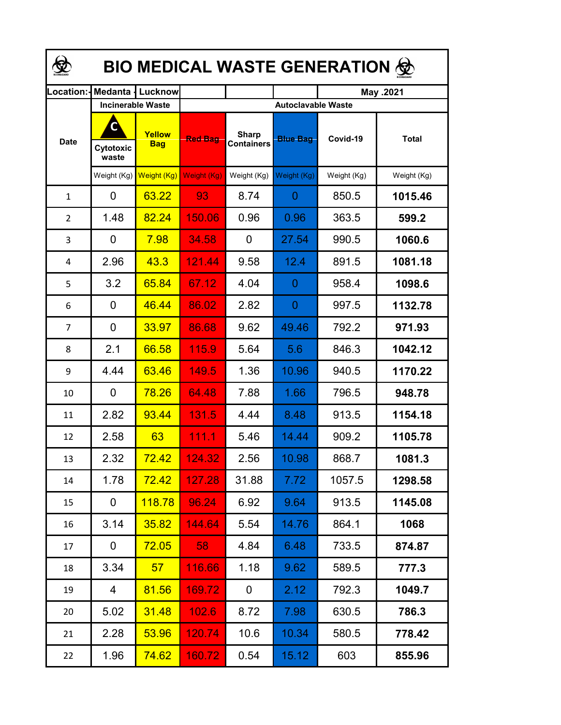| <b>BIO MEDICAL WASTE GENERATION ©</b> |                         |                          |                |                                   |                 |             |              |  |  |
|---------------------------------------|-------------------------|--------------------------|----------------|-----------------------------------|-----------------|-------------|--------------|--|--|
| Location:                             |                         | <b>Medanta   Lucknow</b> |                |                                   |                 | May .2021   |              |  |  |
|                                       |                         | <b>Incinerable Waste</b> |                | <b>Autoclavable Waste</b>         |                 |             |              |  |  |
| <b>Date</b>                           | C<br>Cytotoxic<br>waste | Yellow<br><b>Bag</b>     | <b>Red Bag</b> | <b>Sharp</b><br><b>Containers</b> | <b>Blue Bag</b> | Covid-19    | <b>Total</b> |  |  |
|                                       | Weight (Kg)             | Weight (Kg)              | Weight (Kg)    | Weight (Kg)                       | Weight (Kg)     | Weight (Kg) | Weight (Kg)  |  |  |
| $\mathbf{1}$                          | 0                       | 63.22                    | 93             | 8.74                              | 0               | 850.5       | 1015.46      |  |  |
| $\overline{2}$                        | 1.48                    | 82.24                    | 150.06         | 0.96                              | 0.96            | 363.5       | 599.2        |  |  |
| 3                                     | 0                       | 7.98                     | 34.58          | 0                                 | 27.54           | 990.5       | 1060.6       |  |  |
| 4                                     | 2.96                    | 43.3                     | 121.44         | 9.58                              | 12.4            | 891.5       | 1081.18      |  |  |
| 5                                     | 3.2                     | 65.84                    | 67.12          | 4.04                              | 0               | 958.4       | 1098.6       |  |  |
| 6                                     | 0                       | 46.44                    | 86.02          | 2.82                              | 0               | 997.5       | 1132.78      |  |  |
| $\overline{7}$                        | $\overline{0}$          | 33.97                    | 86.68          | 9.62                              | 49.46           | 792.2       | 971.93       |  |  |
| 8                                     | 2.1                     | 66.58                    | 115.9          | 5.64                              | 5.6             | 846.3       | 1042.12      |  |  |
| 9                                     | 4.44                    | 63.46                    | 149.5          | 1.36                              | 10.96           | 940.5       | 1170.22      |  |  |
| 10                                    | 0                       | 78.26                    | 64.48          | 7.88                              | 1.66            | 796.5       | 948.78       |  |  |
| 11                                    | 2.82                    | 93.44                    | 131.5          | 4.44                              | 8.48            | 913.5       | 1154.18      |  |  |
| 12                                    | 2.58                    | 63                       | 111.1          | 5.46                              | 14.44           | 909.2       | 1105.78      |  |  |
| 13                                    | 2.32                    | 72.42                    | 124.32         | 2.56                              | 10.98           | 868.7       | 1081.3       |  |  |
| 14                                    | 1.78                    | <b>72.42</b>             | 127.28         | 31.88                             | 7.72            | 1057.5      | 1298.58      |  |  |
| 15                                    | 0                       | 118.78                   | 96.24          | 6.92                              | 9.64            | 913.5       | 1145.08      |  |  |
| 16                                    | 3.14                    | 35.82                    | 144.64         | 5.54                              | 14.76           | 864.1       | 1068         |  |  |
| 17                                    | 0                       | <b>72.05</b>             | 58             | 4.84                              | 6.48            | 733.5       | 874.87       |  |  |
| 18                                    | 3.34                    | 57 <sub>2</sub>          | 116.66         | 1.18                              | 9.62            | 589.5       | 777.3        |  |  |
| 19                                    | $\overline{4}$          | 81.56                    | 169.72         | 0                                 | 2.12            | 792.3       | 1049.7       |  |  |
| 20                                    | 5.02                    | 31.48                    | 102.6          | 8.72                              | 7.98            | 630.5       | 786.3        |  |  |
| 21                                    | 2.28                    | 53.96                    | <u>120.74</u>  | 10.6                              | 10.34           | 580.5       | 778.42       |  |  |
| 22                                    | 1.96                    | 74.62                    | 160.72         | 0.54                              | 15.12           | 603         | 855.96       |  |  |